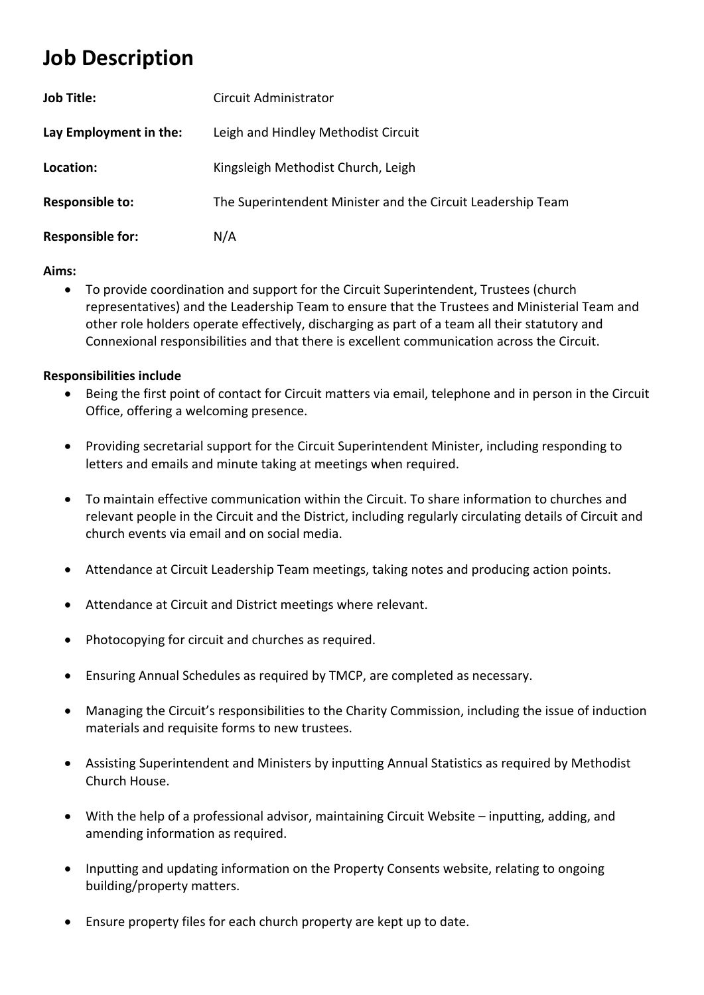## **Job Description**

| <b>Job Title:</b>       | Circuit Administrator                                       |
|-------------------------|-------------------------------------------------------------|
| Lay Employment in the:  | Leigh and Hindley Methodist Circuit                         |
| Location:               | Kingsleigh Methodist Church, Leigh                          |
| <b>Responsible to:</b>  | The Superintendent Minister and the Circuit Leadership Team |
| <b>Responsible for:</b> | N/A                                                         |

## **Aims:**

• To provide coordination and support for the Circuit Superintendent, Trustees (church representatives) and the Leadership Team to ensure that the Trustees and Ministerial Team and other role holders operate effectively, discharging as part of a team all their statutory and Connexional responsibilities and that there is excellent communication across the Circuit.

## **Responsibilities include**

- Being the first point of contact for Circuit matters via email, telephone and in person in the Circuit Office, offering a welcoming presence.
- Providing secretarial support for the Circuit Superintendent Minister, including responding to letters and emails and minute taking at meetings when required.
- To maintain effective communication within the Circuit. To share information to churches and relevant people in the Circuit and the District, including regularly circulating details of Circuit and church events via email and on social media.
- Attendance at Circuit Leadership Team meetings, taking notes and producing action points.
- Attendance at Circuit and District meetings where relevant.
- Photocopying for circuit and churches as required.
- Ensuring Annual Schedules as required by TMCP, are completed as necessary.
- Managing the Circuit's responsibilities to the Charity Commission, including the issue of induction materials and requisite forms to new trustees.
- Assisting Superintendent and Ministers by inputting Annual Statistics as required by Methodist Church House.
- With the help of a professional advisor, maintaining Circuit Website inputting, adding, and amending information as required.
- Inputting and updating information on the Property Consents website, relating to ongoing building/property matters.
- Ensure property files for each church property are kept up to date.